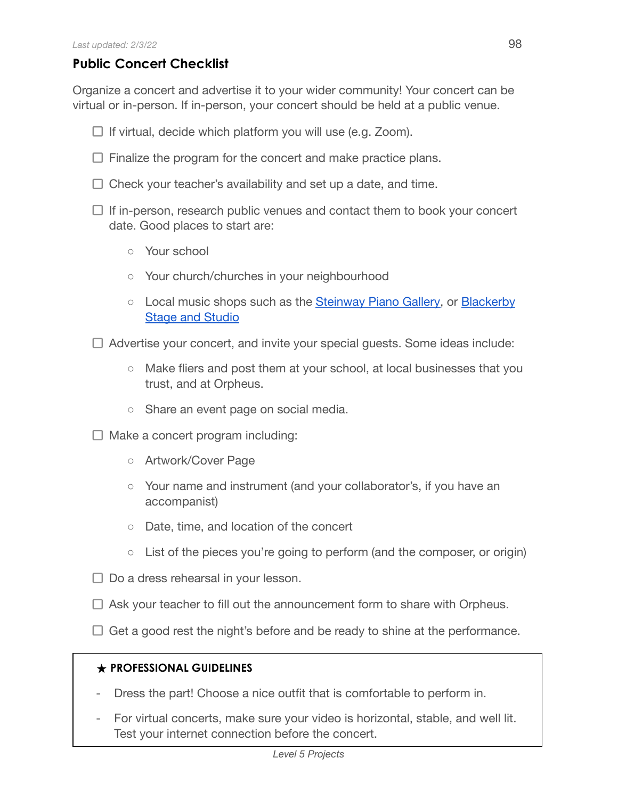## **Public Concert Checklist**

Organize a concert and advertise it to your wider community! Your concert can be virtual or in-person. If in-person, your concert should be held at a public venue.

- $\Box$  If virtual, decide which platform you will use (e.g. Zoom).
- $\Box$  Finalize the program for the concert and make practice plans.
- $\Box$  Check your teacher's availability and set up a date, and time.
- $\Box$  If in-person, research public venues and contact them to book your concert date. Good places to start are:
	- Your school
	- Your church/churches in your neighbourhood
	- Local music shops such as the [Steinway Piano](http://www.steinwayofaustin.com/) Gallery, or [Blackerby](https://stageandstudio.com/) Stage and [Studio](https://stageandstudio.com/)
- $\Box$  Advertise your concert, and invite your special guests. Some ideas include:
	- Make fliers and post them at your school, at local businesses that you trust, and at Orpheus.
	- Share an event page on social media.
- $\Box$  Make a concert program including:
	- Artwork/Cover Page
	- Your name and instrument (and your collaborator's, if you have an accompanist)
	- Date, time, and location of the concert
	- List of the pieces you're going to perform (and the composer, or origin)
- $\Box$  Do a dress rehearsal in your lesson.
- $\Box$  Ask your teacher to fill out the announcement form to share with Orpheus.
- $\Box$  Get a good rest the night's before and be ready to shine at the performance.

## **★ PROFESSIONAL GUIDELINES**

- Dress the part! Choose a nice outfit that is comfortable to perform in.
- For virtual concerts, make sure your video is horizontal, stable, and well lit. Test your internet connection before the concert.